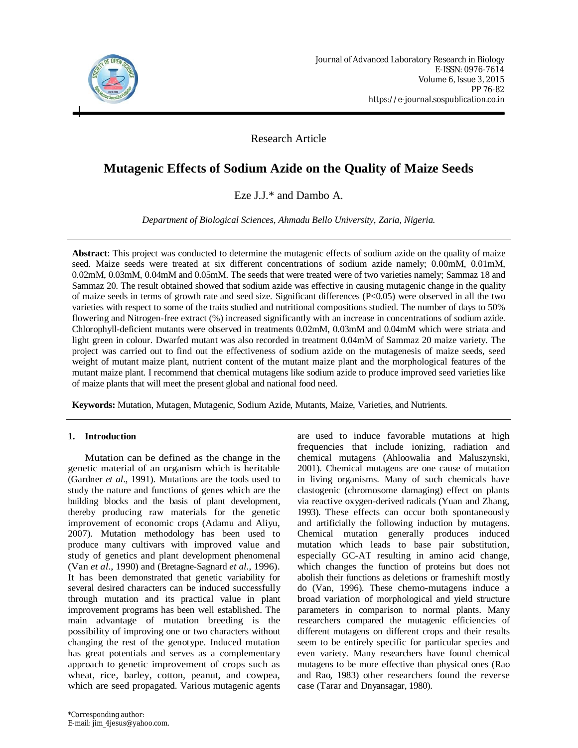

Research Article

# **Mutagenic Effects of Sodium Azide on the Quality of Maize Seeds**

Eze J.J.\* and Dambo A.

*Department of Biological Sciences, Ahmadu Bello University, Zaria, Nigeria.*

**Abstract**: This project was conducted to determine the mutagenic effects of sodium azide on the quality of maize seed. Maize seeds were treated at six different concentrations of sodium azide namely; 0.00mM, 0.01mM, 0.02mM, 0.03mM, 0.04mM and 0.05mM. The seeds that were treated were of two varieties namely; Sammaz 18 and Sammaz 20. The result obtained showed that sodium azide was effective in causing mutagenic change in the quality of maize seeds in terms of growth rate and seed size. Significant differences (P<0.05) were observed in all the two varieties with respect to some of the traits studied and nutritional compositions studied. The number of days to 50% flowering and Nitrogen-free extract (%) increased significantly with an increase in concentrations of sodium azide. Chlorophyll-deficient mutants were observed in treatments 0.02mM, 0.03mM and 0.04mM which were striata and light green in colour. Dwarfed mutant was also recorded in treatment 0.04mM of Sammaz 20 maize variety. The project was carried out to find out the effectiveness of sodium azide on the mutagenesis of maize seeds, seed weight of mutant maize plant, nutrient content of the mutant maize plant and the morphological features of the mutant maize plant. I recommend that chemical mutagens like sodium azide to produce improved seed varieties like of maize plants that will meet the present global and national food need.

**Keywords:** Mutation, Mutagen, Mutagenic, Sodium Azide, Mutants, Maize, Varieties, and Nutrients.

### **1. Introduction**

Mutation can be defined as the change in the genetic material of an organism which is heritable (Gardner *et al*., 1991). Mutations are the tools used to study the nature and functions of genes which are the building blocks and the basis of plant development, thereby producing raw materials for the genetic improvement of economic crops (Adamu and Aliyu, 2007). Mutation methodology has been used to produce many cultivars with improved value and study of genetics and plant development phenomenal (Van *et al*., 1990) and (Bretagne-Sagnard *et al*., 1996). It has been demonstrated that genetic variability for several desired characters can be induced successfully through mutation and its practical value in plant improvement programs has been well established. The main advantage of mutation breeding is the possibility of improving one or two characters without changing the rest of the genotype. Induced mutation has great potentials and serves as a complementary approach to genetic improvement of crops such as wheat, rice, barley, cotton, peanut, and cowpea, which are seed propagated. Various mutagenic agents are used to induce favorable mutations at high frequencies that include ionizing, radiation and chemical mutagens (Ahloowalia and Maluszynski, 2001). Chemical mutagens are one cause of mutation in living organisms. Many of such chemicals have clastogenic (chromosome damaging) effect on plants via reactive oxygen-derived radicals (Yuan and Zhang, 1993). These effects can occur both spontaneously and artificially the following induction by mutagens. Chemical mutation generally produces induced mutation which leads to base pair substitution, especially GC-AT resulting in amino acid change, which changes the function of proteins but does not abolish their functions as deletions or frameshift mostly do (Van, 1996). These chemo-mutagens induce a broad variation of morphological and yield structure parameters in comparison to normal plants. Many researchers compared the mutagenic efficiencies of different mutagens on different crops and their results seem to be entirely specific for particular species and even variety. Many researchers have found chemical mutagens to be more effective than physical ones (Rao and Rao, 1983) other researchers found the reverse case (Tarar and Dnyansagar, 1980).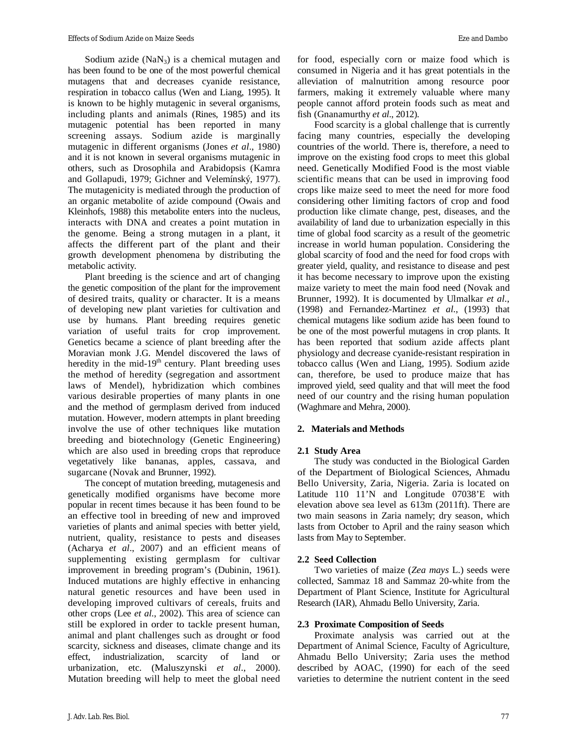Sodium azide  $(NaN_3)$  is a chemical mutagen and has been found to be one of the most powerful chemical mutagens that and decreases cyanide resistance, respiration in tobacco callus (Wen and Liang, 1995). It is known to be highly mutagenic in several organisms, including plants and animals (Rines, 1985) and its mutagenic potential has been reported in many screening assays. Sodium azide is marginally mutagenic in different organisms (Jones *et al*., 1980) and it is not known in several organisms mutagenic in others, such as Drosophila and Arabidopsis (Kamra and Gollapudi, 1979; Gichner and Velemínský, 1977). The mutagenicity is mediated through the production of an organic metabolite of azide compound (Owais and Kleinhofs, 1988) this metabolite enters into the nucleus, interacts with DNA and creates a point mutation in the genome. Being a strong mutagen in a plant, it affects the different part of the plant and their growth development phenomena by distributing the metabolic activity.

Plant breeding is the science and art of changing the genetic composition of the plant for the improvement of desired traits, quality or character. It is a means of developing new plant varieties for cultivation and use by humans. Plant breeding requires genetic variation of useful traits for crop improvement. Genetics became a science of plant breeding after the Moravian monk J.G. Mendel discovered the laws of heredity in the mid- $19<sup>th</sup>$  century. Plant breeding uses the method of heredity (segregation and assortment laws of Mendel), hybridization which combines various desirable properties of many plants in one and the method of germplasm derived from induced mutation. However, modern attempts in plant breeding involve the use of other techniques like mutation breeding and biotechnology (Genetic Engineering) which are also used in breeding crops that reproduce vegetatively like bananas, apples, cassava, and sugarcane (Novak and Brunner, 1992).

The concept of mutation breeding, mutagenesis and genetically modified organisms have become more popular in recent times because it has been found to be an effective tool in breeding of new and improved varieties of plants and animal species with better yield, nutrient, quality, resistance to pests and diseases (Acharya *et al*., 2007) and an efficient means of supplementing existing germplasm for cultivar improvement in breeding program's (Dubinin, 1961). Induced mutations are highly effective in enhancing natural genetic resources and have been used in developing improved cultivars of cereals, fruits and other crops (Lee *et al*., 2002). This area of science can still be explored in order to tackle present human, animal and plant challenges such as drought or food scarcity, sickness and diseases, climate change and its effect, industrialization, scarcity of land or urbanization, etc. (Maluszynski *et al*., 2000). Mutation breeding will help to meet the global need

for food, especially corn or maize food which is consumed in Nigeria and it has great potentials in the alleviation of malnutrition among resource poor farmers, making it extremely valuable where many people cannot afford protein foods such as meat and fish (Gnanamurthy *et al*., 2012).

Food scarcity is a global challenge that is currently facing many countries, especially the developing countries of the world. There is, therefore, a need to improve on the existing food crops to meet this global need. Genetically Modified Food is the most viable scientific means that can be used in improving food crops like maize seed to meet the need for more food considering other limiting factors of crop and food production like climate change, pest, diseases, and the availability of land due to urbanization especially in this time of global food scarcity as a result of the geometric increase in world human population. Considering the global scarcity of food and the need for food crops with greater yield, quality, and resistance to disease and pest it has become necessary to improve upon the existing maize variety to meet the main food need (Novak and Brunner, 1992). It is documented by Ulmalkar *et al*., (1998) and Fernandez-Martinez *et al*., (1993) that chemical mutagens like sodium azide has been found to be one of the most powerful mutagens in crop plants. It has been reported that sodium azide affects plant physiology and decrease cyanide-resistant respiration in tobacco callus (Wen and Liang, 1995). Sodium azide can, therefore, be used to produce maize that has improved yield, seed quality and that will meet the food need of our country and the rising human population (Waghmare and Mehra, 2000).

### **2. Materials and Methods**

### **2.1 Study Area**

The study was conducted in the Biological Garden of the Department of Biological Sciences, Ahmadu Bello University, Zaria, Nigeria. Zaria is located on Latitude 110 11'N and Longitude 07038'E with elevation above sea level as 613m (2011ft). There are two main seasons in Zaria namely; dry season, which lasts from October to April and the rainy season which lasts from May to September.

### **2.2 Seed Collection**

Two varieties of maize (*Zea mays* L.) seeds were collected, Sammaz 18 and Sammaz 20-white from the Department of Plant Science, Institute for Agricultural Research (IAR), Ahmadu Bello University, Zaria.

### **2.3 Proximate Composition of Seeds**

Proximate analysis was carried out at the Department of Animal Science, Faculty of Agriculture, Ahmadu Bello University; Zaria uses the method described by AOAC, (1990) for each of the seed varieties to determine the nutrient content in the seed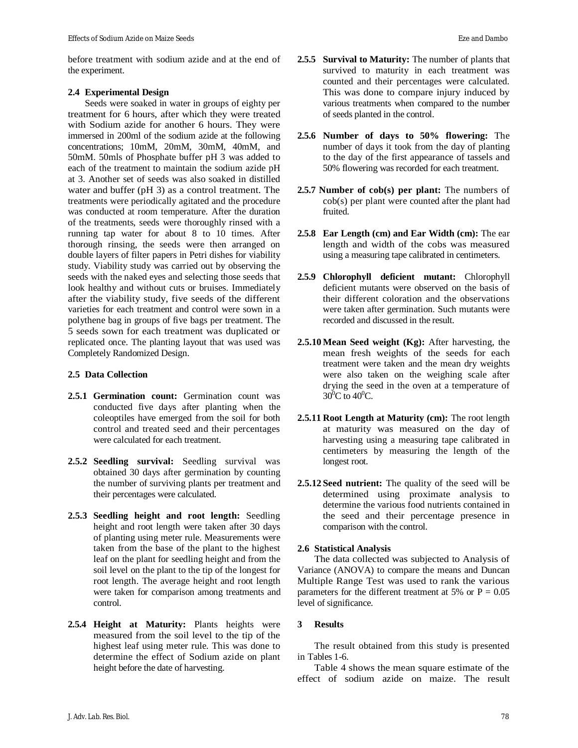before treatment with sodium azide and at the end of the experiment.

### **2.4 Experimental Design**

Seeds were soaked in water in groups of eighty per treatment for 6 hours, after which they were treated with Sodium azide for another 6 hours. They were immersed in 200ml of the sodium azide at the following concentrations; 10mM, 20mM, 30mM, 40mM, and 50mM. 50mls of Phosphate buffer pH 3 was added to each of the treatment to maintain the sodium azide pH at 3. Another set of seeds was also soaked in distilled water and buffer (pH 3) as a control treatment. The treatments were periodically agitated and the procedure was conducted at room temperature. After the duration of the treatments, seeds were thoroughly rinsed with a running tap water for about 8 to 10 times. After thorough rinsing, the seeds were then arranged on double layers of filter papers in Petri dishes for viability study. Viability study was carried out by observing the seeds with the naked eyes and selecting those seeds that look healthy and without cuts or bruises. Immediately after the viability study, five seeds of the different varieties for each treatment and control were sown in a polythene bag in groups of five bags per treatment. The 5 seeds sown for each treatment was duplicated or replicated once. The planting layout that was used was Completely Randomized Design.

## **2.5 Data Collection**

- **2.5.1 Germination count:** Germination count was conducted five days after planting when the coleoptiles have emerged from the soil for both control and treated seed and their percentages were calculated for each treatment.
- **2.5.2 Seedling survival:** Seedling survival was obtained 30 days after germination by counting the number of surviving plants per treatment and their percentages were calculated.
- **2.5.3 Seedling height and root length:** Seedling height and root length were taken after 30 days of planting using meter rule. Measurements were taken from the base of the plant to the highest leaf on the plant for seedling height and from the soil level on the plant to the tip of the longest for root length. The average height and root length were taken for comparison among treatments and control.
- **2.5.4 Height at Maturity:** Plants heights were measured from the soil level to the tip of the highest leaf using meter rule. This was done to determine the effect of Sodium azide on plant height before the date of harvesting.
- **2.5.5 Survival to Maturity:** The number of plants that survived to maturity in each treatment was counted and their percentages were calculated. This was done to compare injury induced by various treatments when compared to the number of seeds planted in the control.
- **2.5.6 Number of days to 50% flowering:** The number of days it took from the day of planting to the day of the first appearance of tassels and 50% flowering was recorded for each treatment.
- **2.5.7 Number of cob(s) per plant:** The numbers of cob(s) per plant were counted after the plant had fruited.
- **2.5.8 Ear Length (cm) and Ear Width (cm):** The ear length and width of the cobs was measured using a measuring tape calibrated in centimeters.
- **2.5.9 Chlorophyll deficient mutant:** Chlorophyll deficient mutants were observed on the basis of their different coloration and the observations were taken after germination. Such mutants were recorded and discussed in the result.
- **2.5.10 Mean Seed weight (Kg):** After harvesting, the mean fresh weights of the seeds for each treatment were taken and the mean dry weights were also taken on the weighing scale after drying the seed in the oven at a temperature of  $30^{\circ}$ C to  $40^{\circ}$ C.
- **2.5.11 Root Length at Maturity (cm):** The root length at maturity was measured on the day of harvesting using a measuring tape calibrated in centimeters by measuring the length of the longest root.
- **2.5.12 Seed nutrient:** The quality of the seed will be determined using proximate analysis to determine the various food nutrients contained in the seed and their percentage presence in comparison with the control.

### **2.6 Statistical Analysis**

The data collected was subjected to Analysis of Variance (ANOVA) to compare the means and Duncan Multiple Range Test was used to rank the various parameters for the different treatment at 5% or  $P = 0.05$ level of significance.

### **3 Results**

The result obtained from this study is presented in Tables 1-6.

Table 4 shows the mean square estimate of the effect of sodium azide on maize. The result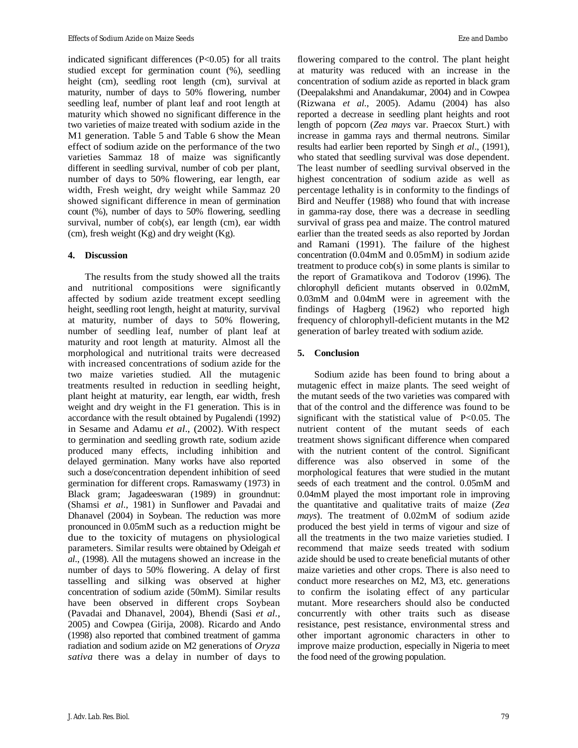indicated significant differences (P<0.05) for all traits studied except for germination count (%), seedling height (cm), seedling root length (cm), survival at maturity, number of days to 50% flowering, number seedling leaf, number of plant leaf and root length at maturity which showed no significant difference in the two varieties of maize treated with sodium azide in the M1 generation. Table 5 and Table 6 show the Mean effect of sodium azide on the performance of the two varieties Sammaz 18 of maize was significantly different in seedling survival, number of cob per plant, number of days to 50% flowering, ear length, ear width, Fresh weight, dry weight while Sammaz 20 showed significant difference in mean of germination count (%), number of days to 50% flowering, seedling survival, number of cob(s), ear length (cm), ear width (cm), fresh weight (Kg) and dry weight (Kg).

### **4. Discussion**

The results from the study showed all the traits and nutritional compositions were significantly affected by sodium azide treatment except seedling height, seedling root length, height at maturity, survival at maturity, number of days to 50% flowering, number of seedling leaf, number of plant leaf at maturity and root length at maturity. Almost all the morphological and nutritional traits were decreased with increased concentrations of sodium azide for the two maize varieties studied. All the mutagenic treatments resulted in reduction in seedling height, plant height at maturity, ear length, ear width, fresh weight and dry weight in the F1 generation. This is in accordance with the result obtained by Pugalendi (1992) in Sesame and Adamu *et al*., (2002). With respect to germination and seedling growth rate, sodium azide produced many effects, including inhibition and delayed germination. Many works have also reported such a dose/concentration dependent inhibition of seed germination for different crops. Ramaswamy (1973) in Black gram; Jagadeeswaran (1989) in groundnut: (Shamsi *et al*., 1981) in Sunflower and Pavadai and Dhanavel (2004) in Soybean. The reduction was more pronounced in 0.05mM such as a reduction might be due to the toxicity of mutagens on physiological parameters. Similar results were obtained by Odeigah *et al*., (1998). All the mutagens showed an increase in the number of days to 50% flowering. A delay of first tasselling and silking was observed at higher concentration of sodium azide (50mM). Similar results have been observed in different crops Soybean (Pavadai and Dhanavel, 2004), Bhendi (Sasi *et al*., 2005) and Cowpea (Girija, 2008). Ricardo and Ando (1998) also reported that combined treatment of gamma radiation and sodium azide on M2 generations of *Oryza sativa* there was a delay in number of days to

flowering compared to the control. The plant height at maturity was reduced with an increase in the concentration of sodium azide as reported in black gram (Deepalakshmi and Anandakumar, 2004) and in Cowpea (Rizwana *et al*., 2005). Adamu (2004) has also reported a decrease in seedling plant heights and root length of popcorn (*Zea mays* var. Praecox Sturt.) with increase in gamma rays and thermal neutrons. Similar results had earlier been reported by Singh *et al*., (1991), who stated that seedling survival was dose dependent. The least number of seedling survival observed in the highest concentration of sodium azide as well as percentage lethality is in conformity to the findings of Bird and Neuffer (1988) who found that with increase in gamma-ray dose, there was a decrease in seedling survival of grass pea and maize. The control matured earlier than the treated seeds as also reported by Jordan and Ramani (1991). The failure of the highest concentration (0.04mM and 0.05mM) in sodium azide treatment to produce cob(s) in some plants is similar to the report of Gramatikova and Todorov (1996). The chlorophyll deficient mutants observed in 0.02mM, 0.03mM and 0.04mM were in agreement with the findings of Hagberg (1962) who reported high frequency of chlorophyll-deficient mutants in the M2 generation of barley treated with sodium azide.

### **5. Conclusion**

Sodium azide has been found to bring about a mutagenic effect in maize plants. The seed weight of the mutant seeds of the two varieties was compared with that of the control and the difference was found to be significant with the statistical value of P<0.05. The nutrient content of the mutant seeds of each treatment shows significant difference when compared with the nutrient content of the control. Significant difference was also observed in some of the morphological features that were studied in the mutant seeds of each treatment and the control. 0.05mM and 0.04mM played the most important role in improving the quantitative and qualitative traits of maize (*Zea mays*). The treatment of 0.02mM of sodium azide produced the best yield in terms of vigour and size of all the treatments in the two maize varieties studied. I recommend that maize seeds treated with sodium azide should be used to create beneficial mutants of other maize varieties and other crops. There is also need to conduct more researches on M2, M3, etc. generations to confirm the isolating effect of any particular mutant. More researchers should also be conducted concurrently with other traits such as disease resistance, pest resistance, environmental stress and other important agronomic characters in other to improve maize production, especially in Nigeria to meet the food need of the growing population.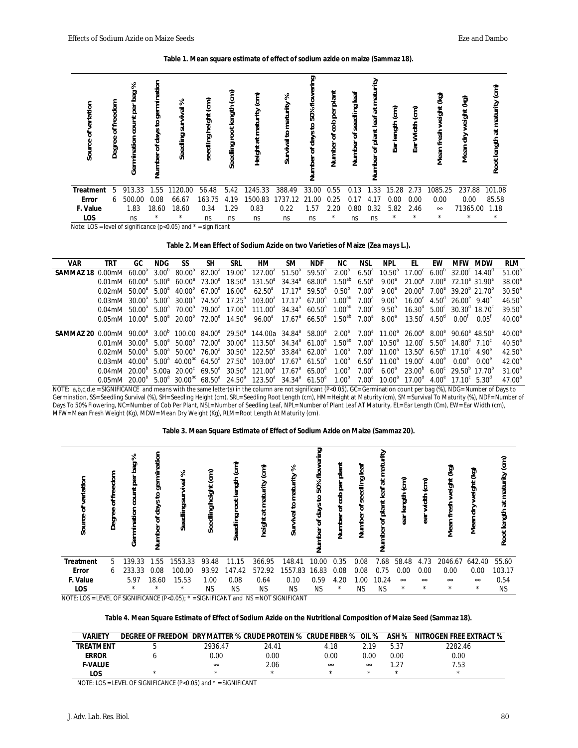**Table 1. Mean square estimate of effect of sodium azide on maize (Sammaz 18).**

| germination<br>flower<br>matu<br>plant<br>ξ<br>pag<br>leaf<br>(cm)<br>වූ<br>శి<br>මූ<br>ίε)<br>freedom<br>వి<br>Source of variation<br>Survival to maturity<br>length<br>seedling<br>weight<br>$\vec{a}$<br>ō<br>survival<br>έ<br>(cm)<br>50%<br>at maturity<br>weight<br>ŏ.<br>휨<br>height<br>of plant leaf<br>count<br>$\mathbf{e}$<br>ಕ್ಷಿ<br>Ear length<br>Width<br>៓<br>ă<br>క్<br>days<br>fresh<br>ㅎ<br>days<br>Seedling:<br>৳<br>급<br>seedling<br>rmination<br>Degree<br>Number<br>Number<br>Ear<br>Seedling<br>৳<br>Mean<br>Height:<br>$\overline{\sigma}$<br>Mean <sup>-</sup><br>Number<br>mber<br>mber<br>Ğ<br>Ž.<br>ź | ί<br>at maturity<br>length<br>Root I |
|-----------------------------------------------------------------------------------------------------------------------------------------------------------------------------------------------------------------------------------------------------------------------------------------------------------------------------------------------------------------------------------------------------------------------------------------------------------------------------------------------------------------------------------------------------------------------------------------------------------------------------------|--------------------------------------|
| 1245.33<br>237.88<br>913.33<br>1120.00<br>56.48<br>388.49<br>33.00<br>0.55<br>1.33<br>1085.25<br><b>Treatment</b><br>5.42<br>0.13<br>15.28<br>1.55<br>2.73<br>5                                                                                                                                                                                                                                                                                                                                                                                                                                                                   | 101.08                               |
| 0.00<br>500.00<br>163.75<br>1500.83<br>1737.12<br>0.00<br><b>Error</b><br>0.08<br>66.67<br>0.25<br>0.00<br>0.00<br>4.19<br>21.00<br>0.17<br>6<br>4.17                                                                                                                                                                                                                                                                                                                                                                                                                                                                             | 85.58                                |
| F. Value<br>0.83<br>1.83<br>18.60<br>0.34<br>1.29<br>0.22<br>0.32<br>18.60<br>2.20<br>0.80<br>71365.00<br>1.57<br>5.82<br>2.46<br>$\infty$                                                                                                                                                                                                                                                                                                                                                                                                                                                                                        | 1.18                                 |
| LOS<br>$^{\star}$<br>$\star$<br>$\star$<br>$^\star$<br>*<br>$\star$<br>$^\star$<br>ns<br>ns<br>ns<br>ns<br>ns<br>ns<br>ns<br>ns                                                                                                                                                                                                                                                                                                                                                                                                                                                                                                   | $\star$                              |

Note:  $LOS = level of significance (p<0.05)$  and  $* = significant$ 

**Table 2. Mean Effect of Sodium Azide on two Varieties of Maize (***Zea mays L.***).**

| VAR                                                                                                                                                                                                                                                                                       | TRT                                                                                                                                                                                                                                                   | GC.                | NDG.              | SS                                    | SН              | SRL       | ΗМ                                                                                   | SM. | <b>NDF</b> | NC.                              | NSL               | NPL             | FL.                                                                        | <b>FW</b> | <b>MFW</b>                                          | <b>MDW</b>        | <b>RLM</b>      |
|-------------------------------------------------------------------------------------------------------------------------------------------------------------------------------------------------------------------------------------------------------------------------------------------|-------------------------------------------------------------------------------------------------------------------------------------------------------------------------------------------------------------------------------------------------------|--------------------|-------------------|---------------------------------------|-----------------|-----------|--------------------------------------------------------------------------------------|-----|------------|----------------------------------|-------------------|-----------------|----------------------------------------------------------------------------|-----------|-----------------------------------------------------|-------------------|-----------------|
|                                                                                                                                                                                                                                                                                           |                                                                                                                                                                                                                                                       | 60.00 <sup>ª</sup> | 3.00 <sup>b</sup> | $80.00^{\circ}$                       | $82.00^{\circ}$ | $19.00^a$ | $127.00^a$ 51.50 <sup>a</sup> 59.50 <sup>a</sup>                                     |     |            | 2.00 <sup>a</sup>                | $6.50^a$          | $10.50^{\circ}$ | $17.00^{\circ}$ 6.00 <sup>°</sup> 32.00 <sup>°</sup> 14.40 <sup>°</sup>    |           |                                                     |                   | $51.00^a$       |
|                                                                                                                                                                                                                                                                                           | $0.01$ mM $60.00^a$ 5.00 <sup>a</sup>                                                                                                                                                                                                                 |                    |                   | $60.00^a$ 73.00 <sup>a</sup>          |                 |           | $18.50^a$ $131.50^a$ $34.34^a$ $68.00^a$ $1.50^{ab}$                                 |     |            |                                  | $6.50^{a}$        | $9.00^{\circ}$  | $21.00^a$ $7.00^a$ $72.10^a$ 31.90 <sup>a</sup>                            |           |                                                     |                   | $38.00^a$       |
|                                                                                                                                                                                                                                                                                           | $0.02$ mM $50.00^a$ 5.00 <sup>a</sup>                                                                                                                                                                                                                 |                    |                   | 40.00 <sup>b</sup> 67.00 <sup>a</sup> |                 |           | $16.00^a$ 62.50 <sup>a</sup> 17.17 <sup>a</sup> 59.50 <sup>a</sup> 0.50 <sup>b</sup> |     |            |                                  | 7.00 <sup>a</sup> | $9.00^{\circ}$  | 20.00 <sup>b</sup> 7.00 <sup>a</sup> 39.20 <sup>b</sup> 21.70 <sup>b</sup> |           |                                                     |                   | $30.50^{\circ}$ |
|                                                                                                                                                                                                                                                                                           | $0.03$ mM $30.00^a$ $5.00^a$ $30.00^b$ $74.50^a$ $17.25^a$ $103.00^a$ $17.17^a$ $67.00^a$ $1.00^{ab}$ $7.00^a$                                                                                                                                        |                    |                   |                                       |                 |           |                                                                                      |     |            |                                  |                   | $9.00^{\circ}$  | $16.00^{\circ}$ 4.50 <sup>d</sup> 26.00 <sup>e</sup> 9.40 <sup>e</sup>     |           |                                                     |                   | $46.50^{a}$     |
|                                                                                                                                                                                                                                                                                           | $0.04$ mM $50.00^a$ $5.00^a$ $70.00^a$ $79.00^a$ $17.00^a$ $111.00^a$ $34.34^a$ $60.50^a$ $1.00^{ab}$ $7.00^a$ $9.50^a$ $16.30^d$ $5.00^c$ $30.30^d$ $18.70^c$                                                                                        |                    |                   |                                       |                 |           |                                                                                      |     |            |                                  |                   |                 |                                                                            |           |                                                     |                   | $39.50^{a}$     |
|                                                                                                                                                                                                                                                                                           | $0.05$ mM $10.00^a$ $5.00^a$ $20.00^o$ $72.00^a$ $14.50^a$ $96.00^a$ $17.67^a$ $66.50^a$ $1.50^{ab}$ $7.00^a$ $8.00^a$ $13.50^t$ $4.50^d$ $0.00^t$ $0.05^t$                                                                                           |                    |                   |                                       |                 |           |                                                                                      |     |            |                                  |                   |                 |                                                                            |           |                                                     |                   | $40.00^a$       |
| <b>SAMMAZ 20</b> 0.00mM 90.00 <sup>a</sup> 3.00 <sup>b</sup> 100.00 84.00 <sup>a</sup> 29.50 <sup>a</sup> 144.00a 34.84 <sup>a</sup> 58.00 <sup>a</sup> 2.00 <sup>a</sup> 7.00 <sup>a</sup> 11.00 <sup>a</sup> 26.00 <sup>a</sup> 8.00 <sup>a</sup> 90.60 <sup>a</sup> 48.50 <sup>a</sup> |                                                                                                                                                                                                                                                       |                    |                   |                                       |                 |           |                                                                                      |     |            |                                  |                   |                 |                                                                            |           |                                                     |                   | $40.00^a$       |
|                                                                                                                                                                                                                                                                                           | $0.01$ mM $30.00^{\circ}$ $5.00^{\circ}$ $50.00^{\circ}$ $72.00^{\circ}$ $30.00^{\circ}$ $113.50^{\circ}$ $34.34^{\circ}$ $61.00^{\circ}$ $1.50^{\circ}$ $7.00^{\circ}$ $10.50^{\circ}$ $12.00^{\circ}$ $5.50^{\circ}$ $14.80^{\circ}$ $7.10^{\circ}$ |                    |                   |                                       |                 |           |                                                                                      |     |            |                                  |                   |                 |                                                                            |           |                                                     |                   | $40.50^{a}$     |
|                                                                                                                                                                                                                                                                                           | $0.02$ mM $50.00^{\circ}$ $5.00^{\circ}$ $50.00^{\circ}$ $76.00^{\circ}$ $30.50^{\circ}$ $122.50^{\circ}$ $33.84^{\circ}$ $62.00^{\circ}$ $1.00^{\circ}$ $7.00^{\circ}$ $11.00^{\circ}$ $13.50^{\circ}$ $6.50^{\circ}$ $17.10^{\circ}$ $4.90^{\circ}$ |                    |                   |                                       |                 |           |                                                                                      |     |            |                                  |                   |                 |                                                                            |           |                                                     |                   | $42.50^a$       |
|                                                                                                                                                                                                                                                                                           | $0.03$ mM $40.00^{b}$ $5.00^{a}$ $40.00^{bc}$ $64.50^{a}$ $27.50^{a}$ $103.00^{a}$ $17.67^{a}$ $61.50^{a}$ $1.00^{b}$ $6.50^{a}$ $11.00^{a}$                                                                                                          |                    |                   |                                       |                 |           |                                                                                      |     |            |                                  |                   |                 | $19.00^{\circ}$ $4.00^{\circ}$ $0.00^{\circ}$                              |           |                                                     | n uu <sub>e</sub> | $42.00^a$       |
|                                                                                                                                                                                                                                                                                           | $0.04$ mM $20.00^{6}$ 5.00a $20.00^{c}$ 69.50 <sup>a</sup> 30.50 <sup>a</sup> 121.00 <sup>a</sup> 17.67 <sup>a</sup> 65.00 <sup>a</sup>                                                                                                               |                    |                   |                                       |                 |           |                                                                                      |     |            | $1.00^{\circ}$ 7.00 <sup>a</sup> |                   |                 | $6.00^a$ $23.00^b$ $6.00^c$ $29.50^b$ 17.70 <sup>b</sup>                   |           |                                                     |                   | $31.00^a$       |
|                                                                                                                                                                                                                                                                                           | $0.05$ mM $20.00^{p}$ $5.00^{a}$ $30.00^{p}$ $68.50^{a}$ $24.50^{a}$ $123.50^{a}$ $34.34^{a}$ $61.50^{a}$ $1.00^{p}$                                                                                                                                  |                    |                   |                                       |                 |           |                                                                                      |     |            |                                  | 7.00 <sup>a</sup> | $10.00^{\circ}$ | 17.00 $^{\circ}$                                                           |           | $4.00^{\circ}$ 17.10 <sup>c</sup> 5.30 <sup>d</sup> |                   | $47.00^a$       |

NOTE: a,b,c,d,e = SIGNIFICANCE and means with the same letter(s) in the column are not significant (P<0.05). GC= Germination count per bag (%), NDG= Number of Days to Germination, SS= Seedling Survival (%), SH= Seedling Height (cm), SRL= Seedling Root Length (cm), HM= Height at Maturity (cm), SM= Survival To Maturity (%), NDF= Number of Days To 50% Flowering, NC= Number of Cob Per Plant, NSL= Number of Seedling Leaf, NPL= Number of Plant Leaf AT Maturity, EL= Ear Length (Cm), EW= Ear Width (cm), MFW= Mean Fresh Weight (Kg), MDW= Mean Dry Weight (Kg), RLM= Root Length At Maturity (cm).

| Table 3. Mean Square Estimate of Effect of Sodium Azide on Maize (Sammaz 20). |
|-------------------------------------------------------------------------------|
|-------------------------------------------------------------------------------|

| variation<br>ᅙ<br><b>Source</b> | of freedom<br><b>Degree</b> | శి<br>ని<br>٥<br>per<br>D<br>ខ<br>mination<br>පි    | germination<br>₽<br>days<br><del>نه</del><br>Number | survival %<br>Seedling | Seedling height (cm)       | ίm)<br>ot length<br>۰<br>Seedling | ίω<br>urity<br>Tati<br>E<br>ā<br>height | శ<br>Survival to maturity              | ద్<br>flow<br>to 50%<br>mber of days<br>z | plant<br>per<br>ಕ್ಷಿ<br>৳<br>Number | leaf<br>edling<br>9<br>৳<br>Numbe | €<br>matu<br>ಸ<br>leaf<br>of plant<br>mber<br>ź | ί<br>ear length | દિ<br>width<br>ear | මූ<br>weight<br>Mean fresh | වූ<br>weight<br>Mean dry | έ<br>at maturity<br>Root length |
|---------------------------------|-----------------------------|-----------------------------------------------------|-----------------------------------------------------|------------------------|----------------------------|-----------------------------------|-----------------------------------------|----------------------------------------|-------------------------------------------|-------------------------------------|-----------------------------------|-------------------------------------------------|-----------------|--------------------|----------------------------|--------------------------|---------------------------------|
| <b>Treatment</b>                | 5                           | 139.33                                              | 1.55                                                | 1553.33                | 93.48                      | 11.15                             | 366.95                                  | 148.41                                 | 10.00                                     | 0.35                                | 0.08                              | 7.68                                            | 58.48           | 4.73               | 2046.67                    | 642.40                   | 55.60                           |
| Error                           | 6                           | 233.33                                              | 0.08                                                | 100.00                 | 93.92                      | 147.42                            | 572.92                                  | 1557.83                                | 16.83                                     | 0.08                                | 0.08                              | 0.75                                            | 0.00            | 0.00               | 0.00                       | 0.00                     | 103.17                          |
| F. Value                        |                             | 5.97                                                | 18.60                                               | 15.53                  | 1.00                       | 0.08                              | 0.64                                    | 0.10                                   | 0.59                                      | 4.20                                | 1.00                              | 10.24                                           | $\infty$        | $\infty$           | $\infty$                   | $\infty$                 | 0.54                            |
| <b>LOS</b><br>$MQTT + QC$       |                             | $\star$<br>$I$ EVEL OF CLONIFICANIOF (B) O OF $\pm$ | $^{\star}$                                          | $^\star$               | <b>NS</b><br>C101111101111 | <b>NS</b><br>$\overline{1}$       | <b>NS</b>                               | <b>NS</b><br><b>NIOT CIONILEIOSNIT</b> | <b>NS</b>                                 | $^\star$                            | <b>NS</b>                         | <b>NS</b>                                       | $\star$         | $\star$            | $\star$                    | $\star$                  | <b>NS</b>                       |

NOTE: LOS = LEVEL OF SIGNIFICANCE (P<0.05); \* = SIGNIFICANT and NS = NOT SIGNIFICANT

**Table 4. Mean Square Estimate of Effect of Sodium Azide on the Nutritional Composition of Maize Seed (Sammaz 18).**

| <b>VARIETY</b> | DEGREE OF FREEDOM DRY MATTER % CRUDE PROTEIN % CRUDE FIBER % |          |         |          | OIL %    | ASH %   | <b>NITROGEN FREE EXTRACT %</b> |
|----------------|--------------------------------------------------------------|----------|---------|----------|----------|---------|--------------------------------|
| TRFATMFN1      |                                                              | 2936.47  | 24.41   | 4.18     | 19       | 5.37    | 2282.46                        |
| <b>ERROR</b>   |                                                              | 0.00     | 0.00    | 0.00     | 0.00     | 0.00    | 0.00                           |
| <b>F-VALUE</b> |                                                              | $\infty$ | 2.06    | $\infty$ | $\infty$ | $1.2^-$ | '.53                           |
| LOS            | $\star$                                                      |          | $\star$ | ÷        | $\star$  | *       | *                              |

NOTE: LOS = LEVEL OF SIGNIFICANCE (P<0.05) and \* = SIGNIFICANT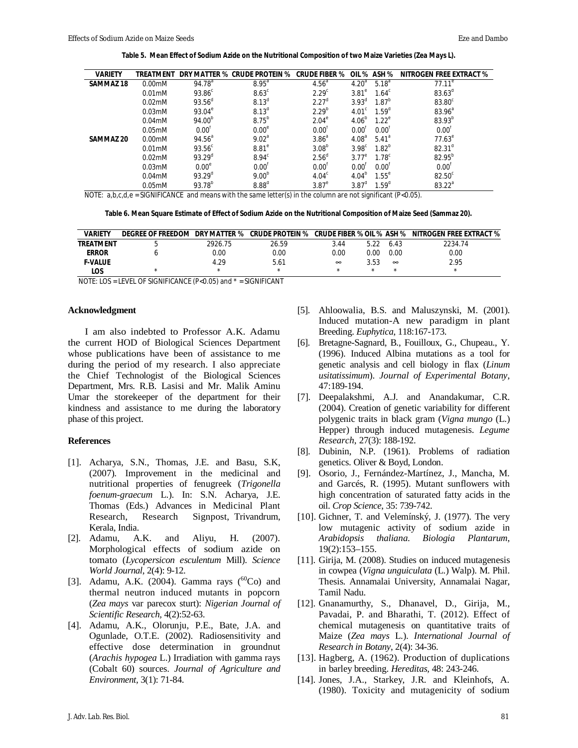**Table 5. Mean Effect of Sodium Azide on the Nutritional Composition of two Maize Varieties (***Zea Mays L***).**

| <b>VARIETY</b>   | TRFATMFNT           |                    | DRY MATTER % CRUDE PROTEIN % | <b>CRUDE FIBER %</b> |                                  | OIL % ASH %       | <b>NITROGEN FREE EXTRACT %</b> |
|------------------|---------------------|--------------------|------------------------------|----------------------|----------------------------------|-------------------|--------------------------------|
| <b>SAMMAZ 18</b> | $0.00$ mM           | 94.78 <sup>a</sup> | $8.95^{a}$                   | 4.56 <sup>a</sup>    | 4.20 <sup>a</sup>                | $5.18^{a}$        | $77.11^e$                      |
|                  | $0.01$ mM           | $93.86^\circ$      | $8.63^c$                     | 2.29 <sup>c</sup>    | $3.81^\circ$                     | $1.64^c$          | $83.63^d$                      |
|                  | $0.02$ mM           | 93.56 <sup>d</sup> | $8.13^{d}$                   | 2.27 <sup>d</sup>    | $3.93^{\circ}$                   | $1.87^{b}$        | 83.80 <sup>c</sup>             |
|                  | $0.03 \text{m}$ M   | $93.04^{\circ}$    | 8.13 <sup>d</sup>            | $2.29^{b}$           | 4.01 <sup>c</sup>                | 1.59 <sup>d</sup> | $83.96^{a}$                    |
|                  | $0.04$ mM           | 94.00 <sup>b</sup> | $8.75^{b}$                   | $2.04^\mathrm{e}$    | 4.06 <sup>b</sup>                | $1.22^e$          | $83.93^{b}$                    |
|                  | 0.05 <sub>m</sub> M | 0.00 <sup>t</sup>  | 0.00 <sup>e</sup>            | 0.00 <sup>t</sup>    | $0.00^{\circ}$                   | $0.00^{1}$        | $0.00^{\dagger}$               |
| <b>SAMMAZ 20</b> | $0.00$ mM           | $94.56^{a}$        | 9.02 <sup>a</sup>            | 3.86 <sup>a</sup>    | $4.08^{a}$                       | $5.41^{a}$        | $77.63^e$                      |
|                  | $0.01$ mM           | $93.56^{\circ}$    | $8.81^\circ$                 | 3.08 <sup>b</sup>    | 3.98 <sup>c</sup>                | $1.82^{b}$        | $82.31^d$                      |
|                  | $0.02 \text{m}$ M   | $93.29^{d}$        | 8.94 <sup>c</sup>            | 2.56 <sup>d</sup>    | $3.77^\circ$                     | 1.78 <sup>c</sup> | 82.95 <sup>b</sup>             |
|                  | $0.03$ mM           | 0.00 <sup>e</sup>  | $0.00^{\dagger}$             | 0.00 <sup>t</sup>    | $0.00^{\circ}$                   | $0.00^{\text{T}}$ | $0.00^{\dagger}$               |
|                  | $0.04$ mM           | 93.29 <sup>d</sup> | $9.00^{b}$                   | 4.04 <sup>c</sup>    | $4.04^{b}$                       | $1.55^{\circ}$    | 82.50 <sup>c</sup>             |
|                  | $0.05$ m $M$        | $93.78^{b}$        | 8.88 <sup>d</sup>            | $3.87^\circ$         | $3.87$ <sup><math>a</math></sup> | 1.59 <sup>d</sup> | $83.22^a$                      |

NOTE:  $a, b, c, d, e$  = SIGNIFICANCE and means with the same letter(s) in the column are not significant (P<0.05).

**Table 6. Mean Square Estimate of Effect of Sodium Azide on the Nutritional Composition of Maize Seed (Sammaz 20).**

| <b><i>VARIETY</i></b> | DEGREE OF FREEDOM | DRY MATTER % | <b>CRUDE PROTEIN %</b> | <b>CRUDE FIBER % OIL % ASH %</b> |         |          | <b>NITROGEN FREE EXTRACT %</b> |
|-----------------------|-------------------|--------------|------------------------|----------------------------------|---------|----------|--------------------------------|
| <b>TREATMENT</b>      |                   | 2926.75      | 26.59                  | 3.44                             |         | 6.43     | 2234.74                        |
| <b>ERROR</b>          |                   | 0.00         | 0.00                   | 0.00                             | 0.00    | 0.00     | 0.00                           |
| <b>F-VALUE</b>        |                   | 4.29         | 5.61                   | $\infty$                         | 3.53    | $\infty$ | 2.95                           |
| LOS.                  |                   |              |                        |                                  | $\star$ |          | ×                              |

NOTE: LOS = LEVEL OF SIGNIFICANCE (P<0.05) and \* = SIGNIFICANT

#### **Acknowledgment**

I am also indebted to Professor A.K. Adamu the current HOD of Biological Sciences Department whose publications have been of assistance to me during the period of my research. I also appreciate the Chief Technologist of the Biological Sciences Department, Mrs. R.B. Lasisi and Mr. Malik Aminu Umar the storekeeper of the department for their kindness and assistance to me during the laboratory phase of this project.

### **References**

- [1]. Acharya, S.N., Thomas, J.E. and Basu, S.K, (2007). Improvement in the medicinal and nutritional properties of fenugreek (*Trigonella foenum-graecum* L.). In: S.N. Acharya, J.E. Thomas (Eds.) Advances in Medicinal Plant Research, Research Signpost, Trivandrum, Kerala, India.
- [2]. Adamu, A.K. and Aliyu, H. (2007). Morphological effects of sodium azide on tomato (*Lycopersicon esculentum* Mill). *Science World Journal*, 2(4): 9-12.
- [3]. Adamu, A.K. (2004). Gamma rays  $(^{60}Co)$  and thermal neutron induced mutants in popcorn (*Zea mays* var parecox sturt): *Nigerian Journal of Scientific Research,* 4(2):52-63.
- [4]. Adamu, A.K., Olorunju, P.E., Bate, J.A. and Ogunlade, O.T.E. (2002). Radiosensitivity and effective dose determination in groundnut (*Arachis hypogea* L.) Irradiation with gamma rays (Cobalt 60) sources. *Journal of Agriculture and Environment,* 3(1): 71-84.
- [5]. Ahloowalia, B.S. and Maluszynski, M. (2001). Induced mutation-A new paradigm in plant Breeding. *Euphytica*, 118:167-173.
- [6]. Bretagne-Sagnard, B., Fouilloux, G., Chupeau., Y. (1996). Induced Albina mutations as a tool for genetic analysis and cell biology in flax (*Linum usitatissimum*). *Journal of Experimental Botany*, 47:189-194.
- [7]. Deepalakshmi, A.J. and Anandakumar, C.R. (2004). Creation of genetic variability for different polygenic traits in black gram (*Vigna mungo* (L.) Hepper) through induced mutagenesis. *Legume Research*, 27(3): 188-192.
- [8]. Dubinin, N.P. (1961). Problems of radiation genetics. Oliver & Boyd, London.
- [9]. Osorio, J., Fernández-Martínez, J., Mancha, M. and Garcés, R. (1995). Mutant sunflowers with high concentration of saturated fatty acids in the oil. *Crop Science*, 35: 739-742.
- [10]. Gichner, T. and Velemínský, J. (1977). The very low mutagenic activity of sodium azide in *Arabidopsis thaliana*. *Biologia Plantarum*, 19(2):153–155.
- [11]. Girija, M. (2008). Studies on induced mutagenesis in cowpea (*Vigna unguiculata* (L.) Walp). M. Phil. Thesis. Annamalai University, Annamalai Nagar, Tamil Nadu.
- [12]. Gnanamurthy, S., Dhanavel, D., Girija, M., Pavadai, P. and Bharathi, T. (2012). Effect of chemical mutagenesis on quantitative traits of Maize (*Zea mays* L.). *International Journal of Research in Botany*, 2(4): 34-36.
- [13]. Hagberg, A. (1962). Production of duplications in barley breeding. *Hereditas,* 48: 243-246.
- [14]. Jones, J.A., Starkey, J.R. and Kleinhofs, A. (1980). Toxicity and mutagenicity of sodium